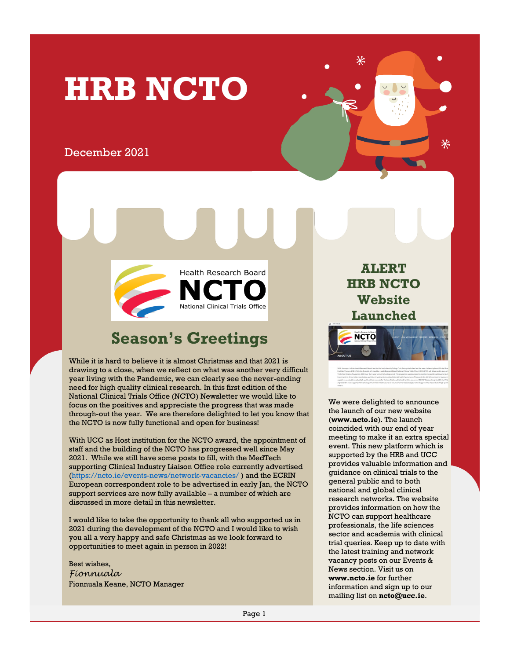# **HRB NCTO**

#### December 2021



## **Season's Greetings**

While it is hard to believe it is almost Christmas and that 2021 is drawing to a close, when we reflect on what was another very difficult year living with the Pandemic, we can clearly see the never-ending need for high quality clinical research. In this first edition of the National Clinical Trials Office (NCTO) Newsletter we would like to focus on the positives and appreciate the progress that was made through-out the year. We are therefore delighted to let you know that the NCTO is now fully functional and open for business!

With UCC as Host institution for the NCTO award, the appointment of staff and the building of the NCTO has progressed well since May 2021. While we still have some posts to fill, with the MedTech supporting Clinical Industry Liaison Office role currently advertised [\(https://ncto.ie/events-news/network-vacancies/](https://ncto.ie/events-news/network-vacancies/) ) and the ECRIN European correspondent role to be advertised in early Jan, the NCTO support services are now fully available – a number of which are discussed in more detail in this newsletter.

I would like to take the opportunity to thank all who supported us in 2021 during the development of the NCTO and I would like to wish you all a very happy and safe Christmas as we look forward to opportunities to meet again in person in 2022!

Best wishes, *Fionnuala* Fionnuala Keane, NCTO Manager

**ALERT HRB NCTO Website Launched**



We were delighted to announce the launch of our new website (**www.ncto.ie**). The launch coincided with our end of year meeting to make it an extra special event. This new platform which is supported by the HRB and UCC provides valuable information and guidance on clinical trials to the general public and to both national and global clinical research networks. The website provides information on how the NCTO can support healthcare professionals, the life sciences sector and academia with clinical trial queries. Keep up to date with the latest training and network vacancy posts on our Events & News section. Visit us on **www.ncto.ie** for further information and sign up to our mailing list on **ncto@ucc.ie**.